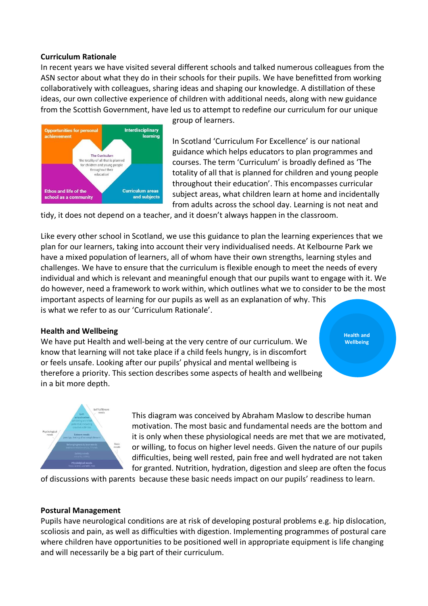### **Curriculum Rationale**

In recent years we have visited several different schools and talked numerous colleagues from the ASN sector about what they do in their schools for their pupils. We have benefitted from working collaboratively with colleagues, sharing ideas and shaping our knowledge. A distillation of these ideas, our own collective experience of children with additional needs, along with new guidance from the Scottish Government, have led us to attempt to redefine our curriculum for our unique



group of learners.

In Scotland 'Curriculum For Excellence' is our national guidance which helps educators to plan programmes and courses. The term 'Curriculum' is broadly defined as 'The totality of all that is planned for children and young people throughout their education'. This encompasses curricular subject areas, what children learn at home and incidentally from adults across the school day. Learning is not neat and

tidy, it does not depend on a teacher, and it doesn't always happen in the classroom.

Like every other school in Scotland, we use this guidance to plan the learning experiences that we plan for our learners, taking into account their very individualised needs. At Kelbourne Park we have a mixed population of learners, all of whom have their own strengths, learning styles and challenges. We have to ensure that the curriculum is flexible enough to meet the needs of every individual and which is relevant and meaningful enough that our pupils want to engage with it. We do however, need a framework to work within, which outlines what we to consider to be the most important aspects of learning for our pupils as well as an explanation of why. This is what we refer to as our 'Curriculum Rationale'.

#### **Health and Wellbeing**

We have put Health and well-being at the very centre of our curriculum. We know that learning will not take place if a child feels hungry, is in discomfort or feels unsafe. Looking after our pupils' physical and mental wellbeing is therefore a priority. This section describes some aspects of health and wellbeing in a bit more depth.

**Health and Wellbeing**



This diagram was conceived by Abraham Maslow to describe human motivation. The most basic and fundamental needs are the bottom and it is only when these physiological needs are met that we are motivated, or willing, to focus on higher level needs. Given the nature of our pupils difficulties, being well rested, pain free and well hydrated are not taken for granted. Nutrition, hydration, digestion and sleep are often the focus

of discussions with parents because these basic needs impact on our pupils' readiness to learn.

#### **Postural Management**

Pupils have neurological conditions are at risk of developing postural problems e.g. hip dislocation, scoliosis and pain, as well as difficulties with digestion. Implementing programmes of postural care where children have opportunities to be positioned well in appropriate equipment is life changing and will necessarily be a big part of their curriculum.